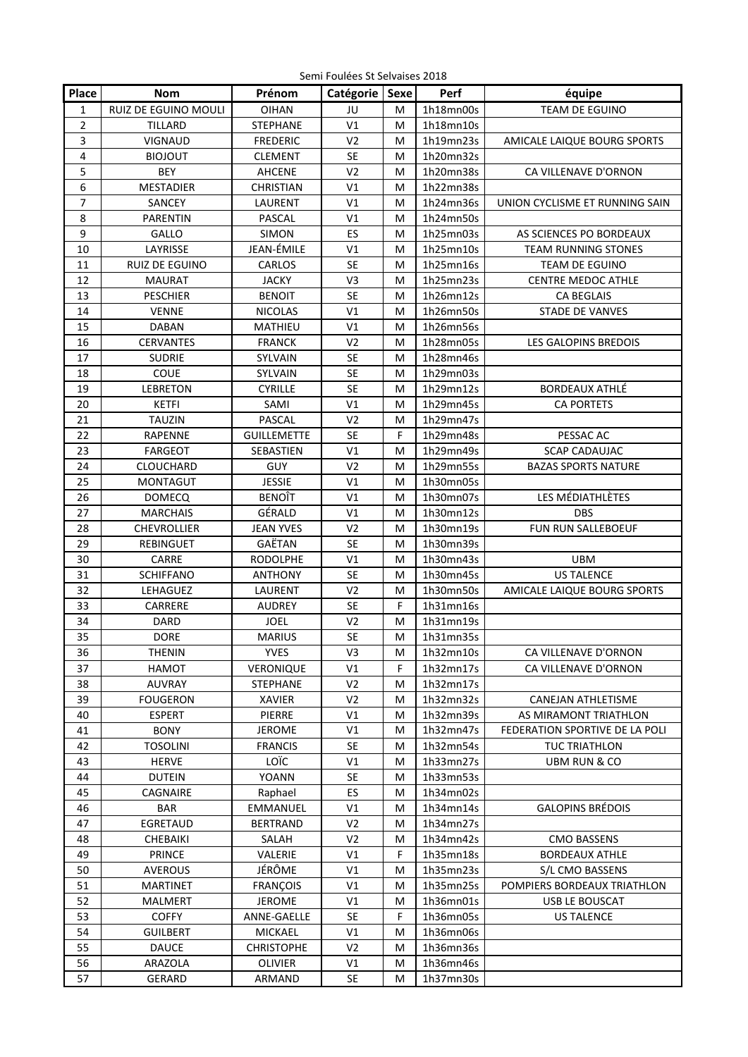Semi Foulées St Selvaises 2018

| Place                   | <b>Nom</b>               | Prénom             | senn i odlees st selvaises zo±t<br>Catégorie   Sexe |   | Perf                   |                                          |
|-------------------------|--------------------------|--------------------|-----------------------------------------------------|---|------------------------|------------------------------------------|
|                         |                          |                    |                                                     |   |                        | équipe                                   |
| $\mathbf{1}$            | RUIZ DE EGUINO MOULI     | <b>OIHAN</b>       | JU                                                  | M | 1h18mn00s              | TEAM DE EGUINO                           |
| $\overline{2}$          | TILLARD                  | <b>STEPHANE</b>    | V1                                                  | M | 1h18mn10s              |                                          |
| 3                       | VIGNAUD                  | <b>FREDERIC</b>    | V <sub>2</sub>                                      | M | 1h19mn23s              | AMICALE LAIQUE BOURG SPORTS              |
| $\overline{\mathbf{4}}$ | <b>BIOJOUT</b>           | <b>CLEMENT</b>     | <b>SE</b>                                           | M | 1h20mn32s              |                                          |
| 5                       | <b>BEY</b>               | AHCENE             | V <sub>2</sub>                                      | м | 1h20mn38s              | CA VILLENAVE D'ORNON                     |
| 6                       | <b>MESTADIER</b>         | <b>CHRISTIAN</b>   | V1                                                  | м | 1h22mn38s              |                                          |
| 7                       | SANCEY                   | LAURENT            | V1                                                  | M | 1h24mn36s              | UNION CYCLISME ET RUNNING SAIN           |
| 8                       | <b>PARENTIN</b>          | <b>PASCAL</b>      | V1                                                  | M | 1h24mn50s              |                                          |
| 9                       | GALLO                    | SIMON              | ES                                                  | M | 1h25mn03s              | AS SCIENCES PO BORDEAUX                  |
| 10                      | LAYRISSE                 | JEAN-ÉMILE         | V <sub>1</sub>                                      | M | 1h25mn10s              | <b>TEAM RUNNING STONES</b>               |
| 11                      | <b>RUIZ DE EGUINO</b>    | <b>CARLOS</b>      | <b>SE</b>                                           | M | 1h25mn16s              | TEAM DE EGUINO                           |
| 12                      | MAURAT                   | <b>JACKY</b>       | V3                                                  | M | 1h25mn23s              | <b>CENTRE MEDOC ATHLE</b>                |
| 13                      | <b>PESCHIER</b>          | <b>BENOIT</b>      | <b>SE</b>                                           | M | 1h26mn12s              | CA BEGLAIS                               |
| 14                      | <b>VENNE</b>             | <b>NICOLAS</b>     | V <sub>1</sub>                                      | M | 1h26mn50s              | STADE DE VANVES                          |
| 15                      | DABAN                    | MATHIEU            | V <sub>1</sub>                                      | M | 1h26mn56s              |                                          |
| 16                      | <b>CERVANTES</b>         | <b>FRANCK</b>      | V <sub>2</sub>                                      | M | 1h28mn05s              | LES GALOPINS BREDOIS                     |
| 17                      | <b>SUDRIE</b>            | SYLVAIN            | <b>SE</b>                                           | M | 1h28mn46s              |                                          |
| 18                      | COUE                     | SYLVAIN            | <b>SE</b>                                           | M | 1h29mn03s              |                                          |
| 19                      | <b>LEBRETON</b>          | <b>CYRILLE</b>     | <b>SE</b>                                           | M | 1h29mn12s              | <b>BORDEAUX ATHLÉ</b>                    |
| 20                      | <b>KETFI</b>             | SAMI               | V1                                                  | М | 1h29mn45s              | <b>CA PORTETS</b>                        |
| 21                      | <b>TAUZIN</b>            | <b>PASCAL</b>      | V <sub>2</sub>                                      | M | 1h29mn47s              |                                          |
| 22                      | RAPENNE                  | <b>GUILLEMETTE</b> | <b>SE</b>                                           | F | 1h29mn48s              | PESSAC AC                                |
| 23                      | FARGEOT                  | SEBASTIEN          | V1                                                  | м | 1h29mn49s              | <b>SCAP CADAUJAC</b>                     |
| 24                      | CLOUCHARD                | GUY                | V <sub>2</sub>                                      | M | 1h29mn55s              | <b>BAZAS SPORTS NATURE</b>               |
| 25                      | <b>MONTAGUT</b>          | <b>JESSIE</b>      | V1                                                  | M | 1h30mn05s              |                                          |
| 26                      | <b>DOMECQ</b>            | BENOÎT             | V1                                                  | M | 1h30mn07s              | LES MÉDIATHLÈTES                         |
| 27                      | <b>MARCHAIS</b>          | GÉRALD             | V <sub>1</sub>                                      | M | 1h30mn12s              | <b>DBS</b>                               |
| 28                      | CHEVROLLIER              | <b>JEAN YVES</b>   | V <sub>2</sub>                                      | M | 1h30mn19s              | FUN RUN SALLEBOEUF                       |
| 29                      | REBINGUET                | GAËTAN             | <b>SE</b>                                           | M | 1h30mn39s              |                                          |
| 30                      | CARRE                    | <b>RODOLPHE</b>    | V1                                                  | M | 1h30mn43s              | <b>UBM</b>                               |
| 31                      | <b>SCHIFFANO</b>         | <b>ANTHONY</b>     | <b>SE</b>                                           | M | 1h30mn45s              | <b>US TALENCE</b>                        |
| 32                      | LEHAGUEZ                 | LAURENT            | V <sub>2</sub>                                      | M | 1h30mn50s              | AMICALE LAIQUE BOURG SPORTS              |
| 33                      | CARRERE                  | <b>AUDREY</b>      | <b>SE</b>                                           | F | 1h31mn16s              |                                          |
| 34                      | DARD                     | <b>JOEL</b>        | V <sub>2</sub>                                      | M | 1h31mn19s              |                                          |
| 35                      | <b>DORE</b>              | <b>MARIUS</b>      | <b>SE</b>                                           | М | 1h31mn35s              |                                          |
| 36                      | <b>THENIN</b>            | <b>YVES</b>        | V <sub>3</sub>                                      | M | 1h32mn10s              | CA VILLENAVE D'ORNON                     |
| 37                      | <b>HAMOT</b>             | VERONIQUE          | V1                                                  | F | 1h32mn17s              | CA VILLENAVE D'ORNON                     |
| 38                      | <b>AUVRAY</b>            | <b>STEPHANE</b>    | V <sub>2</sub>                                      | M | 1h32mn17s              |                                          |
| 39                      | <b>FOUGERON</b>          | XAVIER             | V <sub>2</sub>                                      | M | 1h32mn32s              | CANEJAN ATHLETISME                       |
| 40                      | <b>ESPERT</b>            | PIERRE             | V1                                                  | M | 1h32mn39s              | AS MIRAMONT TRIATHLON                    |
| 41                      | <b>BONY</b>              | <b>JEROME</b>      | V1                                                  | M | 1h32mn47s              | FEDERATION SPORTIVE DE LA POLI           |
| 42                      | <b>TOSOLINI</b>          | <b>FRANCIS</b>     | <b>SE</b>                                           | M | 1h32mn54s              | <b>TUC TRIATHLON</b>                     |
| 43                      | <b>HERVE</b>             | LOÏC               | V1                                                  | M | 1h33mn27s              | UBM RUN & CO                             |
| 44                      | <b>DUTEIN</b>            | YOANN              | SE                                                  | M | 1h33mn53s              |                                          |
| 45                      | CAGNAIRE                 | Raphael            | ES                                                  | M | 1h34mn02s              |                                          |
| 46                      | <b>BAR</b>               | EMMANUEL           | V1                                                  | M | 1h34mn14s              | <b>GALOPINS BRÉDOIS</b>                  |
| 47                      | EGRETAUD                 | <b>BERTRAND</b>    | V <sub>2</sub>                                      | M | 1h34mn27s              |                                          |
| 48                      | CHEBAIKI                 | SALAH              | V <sub>2</sub>                                      | M | 1h34mn42s              | <b>CMO BASSENS</b>                       |
| 49                      |                          |                    | V1                                                  | F |                        |                                          |
| 50                      | PRINCE<br><b>AVEROUS</b> | VALERIE<br>JÉRÔME  | V1                                                  | M | 1h35mn18s<br>1h35mn23s | <b>BORDEAUX ATHLE</b><br>S/L CMO BASSENS |
| 51                      | <b>MARTINET</b>          | <b>FRANÇOIS</b>    | V1                                                  |   | 1h35mn25s              | POMPIERS BORDEAUX TRIATHLON              |
|                         |                          |                    |                                                     | M | 1h36mn01s              |                                          |
| 52                      | <b>MALMERT</b>           | <b>JEROME</b>      | V1                                                  | М |                        | USB LE BOUSCAT                           |
| 53                      | <b>COFFY</b>             | ANNE-GAELLE        | SE                                                  | F | 1h36mn05s              | <b>US TALENCE</b>                        |
| 54                      | <b>GUILBERT</b>          | <b>MICKAEL</b>     | V <sub>1</sub>                                      | M | 1h36mn06s              |                                          |
| 55                      | <b>DAUCE</b>             | <b>CHRISTOPHE</b>  | V <sub>2</sub>                                      | M | 1h36mn36s              |                                          |
| 56                      | ARAZOLA                  | <b>OLIVIER</b>     | V <sub>1</sub>                                      | м | 1h36mn46s              |                                          |
| 57                      | <b>GERARD</b>            | ARMAND             | SE                                                  | м | 1h37mn30s              |                                          |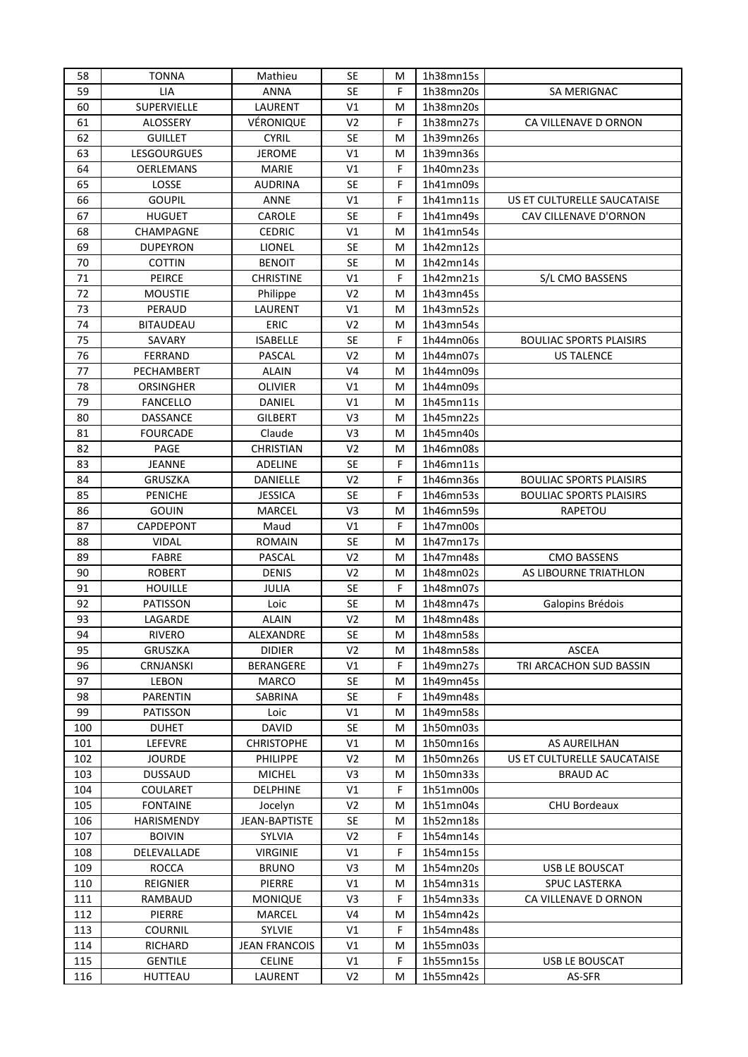| 58  | <b>TONNA</b>       | Mathieu              | <b>SE</b>      | M  | 1h38mn15s |                                |
|-----|--------------------|----------------------|----------------|----|-----------|--------------------------------|
| 59  | LIA                | <b>ANNA</b>          | <b>SE</b>      | F  | 1h38mn20s | SA MERIGNAC                    |
| 60  | SUPERVIELLE        | LAURENT              | V1             | M  | 1h38mn20s |                                |
| 61  | ALOSSERY           | VÉRONIQUE            | V <sub>2</sub> | F  | 1h38mn27s | CA VILLENAVE D ORNON           |
| 62  | <b>GUILLET</b>     | <b>CYRIL</b>         | SE             | M  | 1h39mn26s |                                |
| 63  | <b>LESGOURGUES</b> | <b>JEROME</b>        | V1             | M  | 1h39mn36s |                                |
| 64  | <b>OERLEMANS</b>   | <b>MARIE</b>         | V1             | F  | 1h40mn23s |                                |
| 65  | LOSSE              | AUDRINA              | <b>SE</b>      | F  | 1h41mn09s |                                |
| 66  | <b>GOUPIL</b>      | ANNE                 | V1             | F  | 1h41mn11s | US ET CULTURELLE SAUCATAISE    |
| 67  | <b>HUGUET</b>      | CAROLE               | <b>SE</b>      | F  | 1h41mn49s | CAV CILLENAVE D'ORNON          |
| 68  | CHAMPAGNE          | <b>CEDRIC</b>        | V1             | M  | 1h41mn54s |                                |
| 69  | <b>DUPEYRON</b>    | LIONEL               | <b>SE</b>      | M  | 1h42mn12s |                                |
| 70  | <b>COTTIN</b>      | <b>BENOIT</b>        | <b>SE</b>      | M  | 1h42mn14s |                                |
| 71  | PEIRCE             | <b>CHRISTINE</b>     | V1             | F  | 1h42mn21s | S/L CMO BASSENS                |
| 72  | <b>MOUSTIE</b>     | Philippe             | V <sub>2</sub> | M  | 1h43mn45s |                                |
| 73  | PERAUD             | LAURENT              | V1             | M  | 1h43mn52s |                                |
| 74  | <b>BITAUDEAU</b>   | ERIC                 | V <sub>2</sub> | M  | 1h43mn54s |                                |
| 75  | SAVARY             | <b>ISABELLE</b>      | <b>SE</b>      | F  | 1h44mn06s | <b>BOULIAC SPORTS PLAISIRS</b> |
| 76  | <b>FERRAND</b>     | PASCAL               | V <sub>2</sub> | M  | 1h44mn07s | <b>US TALENCE</b>              |
| 77  | PECHAMBERT         | <b>ALAIN</b>         | V <sub>4</sub> | M  | 1h44mn09s |                                |
| 78  | ORSINGHER          | OLIVIER              | V1             | M  | 1h44mn09s |                                |
| 79  | <b>FANCELLO</b>    | DANIEL               | V1             | M  | 1h45mn11s |                                |
| 80  | DASSANCE           | <b>GILBERT</b>       | V3             | M  | 1h45mn22s |                                |
| 81  | <b>FOURCADE</b>    | Claude               | V3             | M  | 1h45mn40s |                                |
| 82  | PAGE               | <b>CHRISTIAN</b>     | V <sub>2</sub> | M  | 1h46mn08s |                                |
| 83  | <b>JEANNE</b>      | ADELINE              | <b>SE</b>      | F  | 1h46mn11s |                                |
| 84  | <b>GRUSZKA</b>     | DANIELLE             | V <sub>2</sub> | F  | 1h46mn36s | <b>BOULIAC SPORTS PLAISIRS</b> |
| 85  | <b>PENICHE</b>     | <b>JESSICA</b>       | <b>SE</b>      | F  | 1h46mn53s | <b>BOULIAC SPORTS PLAISIRS</b> |
| 86  | <b>GOUIN</b>       | MARCEL               | V3             | M  | 1h46mn59s | <b>RAPETOU</b>                 |
| 87  | CAPDEPONT          | Maud                 | V1             | F  | 1h47mn00s |                                |
| 88  | <b>VIDAL</b>       | <b>ROMAIN</b>        | <b>SE</b>      | M  | 1h47mn17s |                                |
| 89  | FABRE              | PASCAL               | V <sub>2</sub> | M  | 1h47mn48s | <b>CMO BASSENS</b>             |
| 90  | <b>ROBERT</b>      | <b>DENIS</b>         | V <sub>2</sub> | M  | 1h48mn02s | AS LIBOURNE TRIATHLON          |
| 91  | <b>HOUILLE</b>     | JULIA                | SE             | F  | 1h48mn07s |                                |
| 92  | PATISSON           | Loic                 | <b>SE</b>      | M  | 1h48mn47s | Galopins Brédois               |
| 93  | LAGARDE            | <b>ALAIN</b>         | V <sub>2</sub> | М  | 1h48mn48s |                                |
| 94  | <b>RIVERO</b>      | ALEXANDRE            | <b>SE</b>      | M  | 1h48mn58s |                                |
| 95  | <b>GRUSZKA</b>     | <b>DIDIER</b>        | V <sub>2</sub> | M  | 1h48mn58s | <b>ASCEA</b>                   |
| 96  | CRNJANSKI          | BERANGERE            | V1             | F  | 1h49mn27s | TRI ARCACHON SUD BASSIN        |
| 97  | LEBON              | MARCO                | <b>SE</b>      | M  | 1h49mn45s |                                |
| 98  | <b>PARENTIN</b>    | SABRINA              | <b>SE</b>      | F  | 1h49mn48s |                                |
| 99  | PATISSON           | Loic                 | V1             | M  | 1h49mn58s |                                |
| 100 | <b>DUHET</b>       | DAVID                | <b>SE</b>      | M  | 1h50mn03s |                                |
| 101 | LEFEVRE            | <b>CHRISTOPHE</b>    | V1             | M  | 1h50mn16s | AS AUREILHAN                   |
| 102 | <b>JOURDE</b>      | <b>PHILIPPE</b>      | V <sub>2</sub> | M  | 1h50mn26s | US ET CULTURELLE SAUCATAISE    |
| 103 | <b>DUSSAUD</b>     | <b>MICHEL</b>        | V3             | M  | 1h50mn33s | <b>BRAUD AC</b>                |
| 104 | COULARET           | <b>DELPHINE</b>      | V1             | F  | 1h51mn00s |                                |
| 105 | <b>FONTAINE</b>    | Jocelyn              | V2             | M  | 1h51mn04s | <b>CHU Bordeaux</b>            |
| 106 | HARISMENDY         | JEAN-BAPTISTE        | <b>SE</b>      | M  | 1h52mn18s |                                |
| 107 | <b>BOIVIN</b>      | <b>SYLVIA</b>        | V2             | F. | 1h54mn14s |                                |
| 108 | DELEVALLADE        | <b>VIRGINIE</b>      | V1             | F  | 1h54mn15s |                                |
| 109 | <b>ROCCA</b>       | <b>BRUNO</b>         | V3             | М  | 1h54mn20s | USB LE BOUSCAT                 |
| 110 | REIGNIER           | PIERRE               | V1             | M  | 1h54mn31s | <b>SPUC LASTERKA</b>           |
| 111 | RAMBAUD            | <b>MONIQUE</b>       | V3             | F  | 1h54mn33s | CA VILLENAVE D ORNON           |
| 112 | PIERRE             | MARCEL               | V <sub>4</sub> | M  | 1h54mn42s |                                |
| 113 | COURNIL            | SYLVIE               | V1             | F  | 1h54mn48s |                                |
| 114 | RICHARD            | <b>JEAN FRANCOIS</b> | V1             | M  | 1h55mn03s |                                |
| 115 | <b>GENTILE</b>     | <b>CELINE</b>        | V1             | F  | 1h55mn15s | USB LE BOUSCAT                 |
| 116 | HUTTEAU            | LAURENT              | V2             | M  | 1h55mn42s | AS-SFR                         |